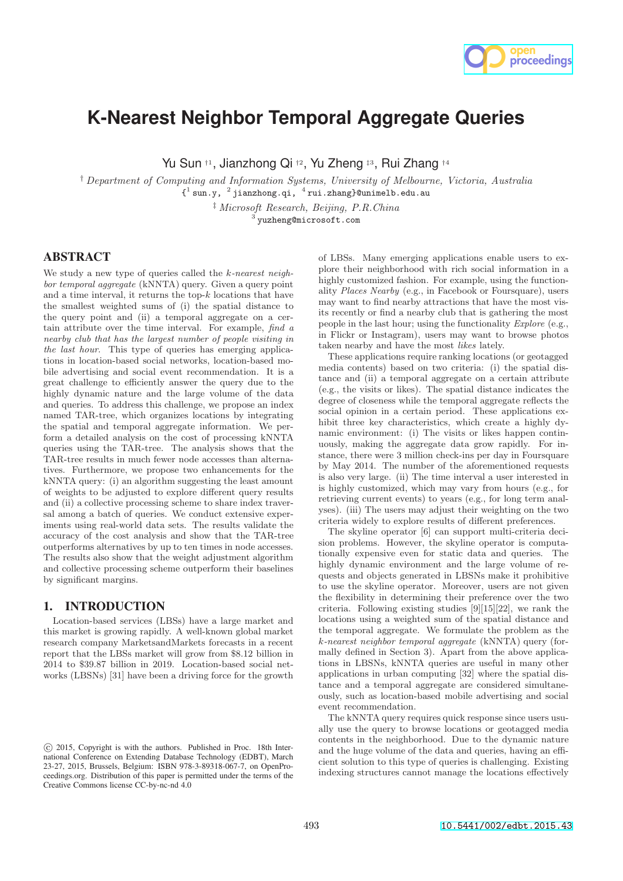

# **K-Nearest Neighbor Temporal Aggregate Queries**

Yu Sun <sup>†1</sup>, Jianzhong Qi <sup>†2</sup>, Yu Zheng ‡3, Rui Zhang †4

† Department of Computing and Information Systems, University of Melbourne, Victoria, Australia  $\{\frac{1}{2}$  sun.y,  $\frac{2}{3}$  jianzhong.qi,  $\frac{4}{3}$  rui.zhang}@unimelb.edu.au

> ‡ Microsoft Research, Beijing, P.R.China 3 yuzheng@microsoft.com

# ABSTRACT

We study a new type of queries called the k-nearest neighbor temporal aggregate (kNNTA) query. Given a query point and a time interval, it returns the top-k locations that have the smallest weighted sums of (i) the spatial distance to the query point and (ii) a temporal aggregate on a certain attribute over the time interval. For example, find a nearby club that has the largest number of people visiting in the last hour. This type of queries has emerging applications in location-based social networks, location-based mobile advertising and social event recommendation. It is a great challenge to efficiently answer the query due to the highly dynamic nature and the large volume of the data and queries. To address this challenge, we propose an index named TAR-tree, which organizes locations by integrating the spatial and temporal aggregate information. We perform a detailed analysis on the cost of processing kNNTA queries using the TAR-tree. The analysis shows that the TAR-tree results in much fewer node accesses than alternatives. Furthermore, we propose two enhancements for the kNNTA query: (i) an algorithm suggesting the least amount of weights to be adjusted to explore different query results and (ii) a collective processing scheme to share index traversal among a batch of queries. We conduct extensive experiments using real-world data sets. The results validate the accuracy of the cost analysis and show that the TAR-tree outperforms alternatives by up to ten times in node accesses. The results also show that the weight adjustment algorithm and collective processing scheme outperform their baselines by significant margins.

# 1. INTRODUCTION

Location-based services (LBSs) have a large market and this market is growing rapidly. A well-known global market research company MarketsandMarkets forecasts in a recent report that the LBSs market will grow from \$8.12 billion in 2014 to \$39.87 billion in 2019. Location-based social networks (LBSNs) [31] have been a driving force for the growth of LBSs. Many emerging applications enable users to explore their neighborhood with rich social information in a highly customized fashion. For example, using the functionality Places Nearby (e.g., in Facebook or Foursquare), users may want to find nearby attractions that have the most visits recently or find a nearby club that is gathering the most people in the last hour; using the functionality Explore (e.g., in Flickr or Instagram), users may want to browse photos taken nearby and have the most likes lately.

These applications require ranking locations (or geotagged media contents) based on two criteria: (i) the spatial distance and (ii) a temporal aggregate on a certain attribute (e.g., the visits or likes). The spatial distance indicates the degree of closeness while the temporal aggregate reflects the social opinion in a certain period. These applications exhibit three key characteristics, which create a highly dynamic environment: (i) The visits or likes happen continuously, making the aggregate data grow rapidly. For instance, there were 3 million check-ins per day in Foursquare by May 2014. The number of the aforementioned requests is also very large. (ii) The time interval a user interested in is highly customized, which may vary from hours (e.g., for retrieving current events) to years (e.g., for long term analyses). (iii) The users may adjust their weighting on the two criteria widely to explore results of different preferences.

The skyline operator [6] can support multi-criteria decision problems. However, the skyline operator is computationally expensive even for static data and queries. The highly dynamic environment and the large volume of requests and objects generated in LBSNs make it prohibitive to use the skyline operator. Moreover, users are not given the flexibility in determining their preference over the two criteria. Following existing studies [9][15][22], we rank the locations using a weighted sum of the spatial distance and the temporal aggregate. We formulate the problem as the k-nearest neighbor temporal aggregate (kNNTA) query (formally defined in Section 3). Apart from the above applications in LBSNs, kNNTA queries are useful in many other applications in urban computing [32] where the spatial distance and a temporal aggregate are considered simultaneously, such as location-based mobile advertising and social event recommendation.

The kNNTA query requires quick response since users usually use the query to browse locations or geotagged media contents in the neighborhood. Due to the dynamic nature and the huge volume of the data and queries, having an efficient solution to this type of queries is challenging. Existing indexing structures cannot manage the locations effectively

c 2015, Copyright is with the authors. Published in Proc. 18th International Conference on Extending Database Technology (EDBT), March 23-27, 2015, Brussels, Belgium: ISBN 978-3-89318-067-7, on OpenProceedings.org. Distribution of this paper is permitted under the terms of the Creative Commons license CC-by-nc-nd 4.0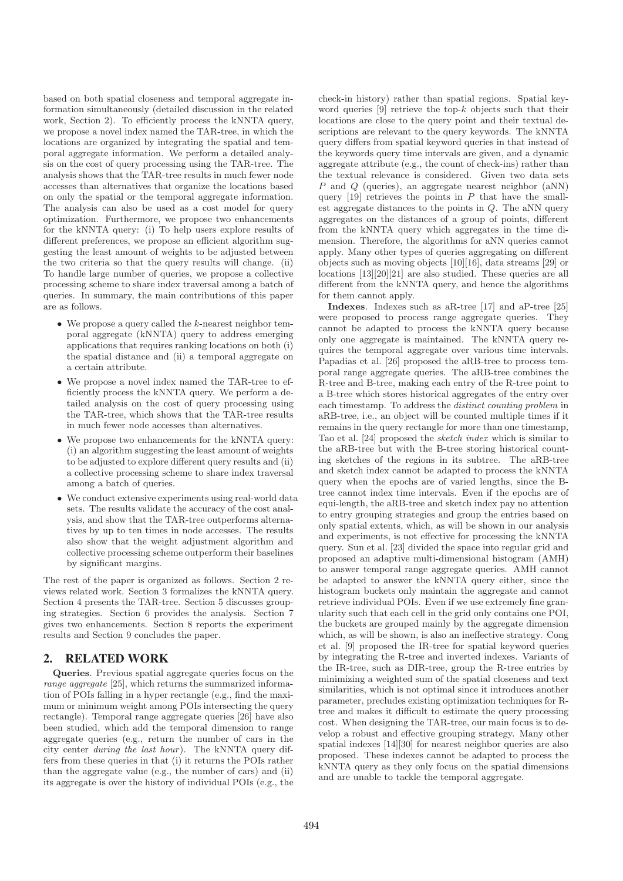based on both spatial closeness and temporal aggregate information simultaneously (detailed discussion in the related work, Section 2). To efficiently process the kNNTA query, we propose a novel index named the TAR-tree, in which the locations are organized by integrating the spatial and temporal aggregate information. We perform a detailed analysis on the cost of query processing using the TAR-tree. The analysis shows that the TAR-tree results in much fewer node accesses than alternatives that organize the locations based on only the spatial or the temporal aggregate information. The analysis can also be used as a cost model for query optimization. Furthermore, we propose two enhancements for the kNNTA query: (i) To help users explore results of different preferences, we propose an efficient algorithm suggesting the least amount of weights to be adjusted between the two criteria so that the query results will change. (ii) To handle large number of queries, we propose a collective processing scheme to share index traversal among a batch of queries. In summary, the main contributions of this paper are as follows.

- We propose a query called the  $k$ -nearest neighbor temporal aggregate (kNNTA) query to address emerging applications that requires ranking locations on both (i) the spatial distance and (ii) a temporal aggregate on a certain attribute.
- We propose a novel index named the TAR-tree to efficiently process the kNNTA query. We perform a detailed analysis on the cost of query processing using the TAR-tree, which shows that the TAR-tree results in much fewer node accesses than alternatives.
- We propose two enhancements for the kNNTA query: (i) an algorithm suggesting the least amount of weights to be adjusted to explore different query results and (ii) a collective processing scheme to share index traversal among a batch of queries.
- We conduct extensive experiments using real-world data sets. The results validate the accuracy of the cost analysis, and show that the TAR-tree outperforms alternatives by up to ten times in node accesses. The results also show that the weight adjustment algorithm and collective processing scheme outperform their baselines by significant margins.

The rest of the paper is organized as follows. Section 2 reviews related work. Section 3 formalizes the kNNTA query. Section 4 presents the TAR-tree. Section 5 discusses grouping strategies. Section 6 provides the analysis. Section 7 gives two enhancements. Section 8 reports the experiment results and Section 9 concludes the paper.

# 2. RELATED WORK

Queries. Previous spatial aggregate queries focus on the range aggregate [25], which returns the summarized information of POIs falling in a hyper rectangle (e.g., find the maximum or minimum weight among POIs intersecting the query rectangle). Temporal range aggregate queries [26] have also been studied, which add the temporal dimension to range aggregate queries (e.g., return the number of cars in the city center during the last hour). The kNNTA query differs from these queries in that (i) it returns the POIs rather than the aggregate value (e.g., the number of cars) and (ii) its aggregate is over the history of individual POIs (e.g., the check-in history) rather than spatial regions. Spatial keyword queries  $[9]$  retrieve the top- $k$  objects such that their locations are close to the query point and their textual descriptions are relevant to the query keywords. The kNNTA query differs from spatial keyword queries in that instead of the keywords query time intervals are given, and a dynamic aggregate attribute (e.g., the count of check-ins) rather than the textual relevance is considered. Given two data sets P and Q (queries), an aggregate nearest neighbor (aNN) query [19] retrieves the points in  $P$  that have the smallest aggregate distances to the points in  $Q$ . The aNN query aggregates on the distances of a group of points, different from the kNNTA query which aggregates in the time dimension. Therefore, the algorithms for aNN queries cannot apply. Many other types of queries aggregating on different objects such as moving objects [10][16], data streams [29] or locations [13][20][21] are also studied. These queries are all different from the kNNTA query, and hence the algorithms for them cannot apply.

Indexes. Indexes such as aR-tree [17] and aP-tree [25] were proposed to process range aggregate queries. They cannot be adapted to process the kNNTA query because only one aggregate is maintained. The kNNTA query requires the temporal aggregate over various time intervals. Papadias et al. [26] proposed the aRB-tree to process temporal range aggregate queries. The aRB-tree combines the R-tree and B-tree, making each entry of the R-tree point to a B-tree which stores historical aggregates of the entry over each timestamp. To address the distinct counting problem in aRB-tree, i.e., an object will be counted multiple times if it remains in the query rectangle for more than one timestamp, Tao et al. [24] proposed the sketch index which is similar to the aRB-tree but with the B-tree storing historical counting sketches of the regions in its subtree. The aRB-tree and sketch index cannot be adapted to process the kNNTA query when the epochs are of varied lengths, since the Btree cannot index time intervals. Even if the epochs are of equi-length, the aRB-tree and sketch index pay no attention to entry grouping strategies and group the entries based on only spatial extents, which, as will be shown in our analysis and experiments, is not effective for processing the kNNTA query. Sun et al. [23] divided the space into regular grid and proposed an adaptive multi-dimensional histogram (AMH) to answer temporal range aggregate queries. AMH cannot be adapted to answer the kNNTA query either, since the histogram buckets only maintain the aggregate and cannot retrieve individual POIs. Even if we use extremely fine granularity such that each cell in the grid only contains one POI, the buckets are grouped mainly by the aggregate dimension which, as will be shown, is also an ineffective strategy. Cong et al. [9] proposed the IR-tree for spatial keyword queries by integrating the R-tree and inverted indexes. Variants of the IR-tree, such as DIR-tree, group the R-tree entries by minimizing a weighted sum of the spatial closeness and text similarities, which is not optimal since it introduces another parameter, precludes existing optimization techniques for Rtree and makes it difficult to estimate the query processing cost. When designing the TAR-tree, our main focus is to develop a robust and effective grouping strategy. Many other spatial indexes [14][30] for nearest neighbor queries are also proposed. These indexes cannot be adapted to process the kNNTA query as they only focus on the spatial dimensions and are unable to tackle the temporal aggregate.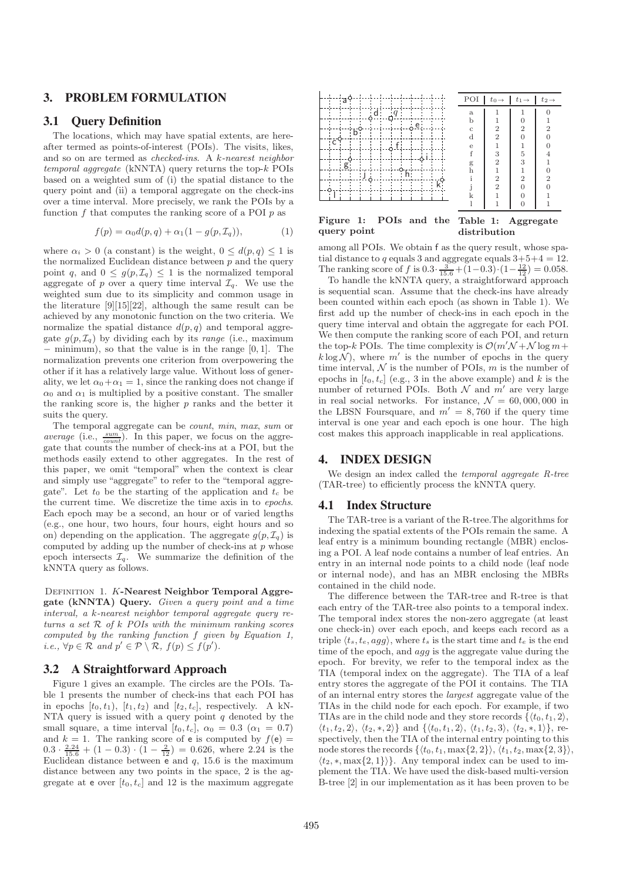# 3. PROBLEM FORMULATION

### 3.1 Query Definition

The locations, which may have spatial extents, are hereafter termed as points-of-interest (POIs). The visits, likes, and so on are termed as checked-ins. A k-nearest neighbor temporal aggregate (kNNTA) query returns the top-k POIs based on a weighted sum of (i) the spatial distance to the query point and (ii) a temporal aggregate on the check-ins over a time interval. More precisely, we rank the POIs by a function  $f$  that computes the ranking score of a POI  $p$  as

$$
f(p) = \alpha_0 d(p, q) + \alpha_1 (1 - g(p, \mathcal{I}_q)), \tag{1}
$$

where  $\alpha_i > 0$  (a constant) is the weight,  $0 \leq d(p, q) \leq 1$  is the normalized Euclidean distance between  $p$  and the query point q, and  $0 \leq q(p, \mathcal{I}_q) \leq 1$  is the normalized temporal aggregate of p over a query time interval  $\mathcal{I}_q$ . We use the weighted sum due to its simplicity and common usage in the literature [9][15][22], although the same result can be achieved by any monotonic function on the two criteria. We normalize the spatial distance  $d(p, q)$  and temporal aggregate  $g(p, \mathcal{I}_q)$  by dividing each by its *range* (i.e., maximum − minimum), so that the value is in the range [0, 1]. The normalization prevents one criterion from overpowering the other if it has a relatively large value. Without loss of generality, we let  $\alpha_0 + \alpha_1 = 1$ , since the ranking does not change if  $\alpha_0$  and  $\alpha_1$  is multiplied by a positive constant. The smaller the ranking score is, the higher  $p$  ranks and the better it suits the query.

The temporal aggregate can be count, min, max, sum or *average* (i.e.,  $\frac{sum}{count}$ ). In this paper, we focus on the aggregate that counts the number of check-ins at a POI, but the methods easily extend to other aggregates. In the rest of this paper, we omit "temporal" when the context is clear and simply use "aggregate" to refer to the "temporal aggregate". Let  $t_0$  be the starting of the application and  $t_c$  be the current time. We discretize the time axis in to epochs. Each epoch may be a second, an hour or of varied lengths (e.g., one hour, two hours, four hours, eight hours and so on) depending on the application. The aggregate  $g(p, \mathcal{I}_q)$  is computed by adding up the number of check-ins at  $p$  whose epoch intersects  $\mathcal{I}_q$ . We summarize the definition of the kNNTA query as follows.

DEFINITION 1. K-Nearest Neighbor Temporal Aggregate (kNNTA) Query. Given a query point and a time interval, a k-nearest neighbor temporal aggregate query returns a set  $R$  of  $k$  POIs with the minimum ranking scores computed by the ranking function f given by Equation 1, *i.e.*,  $\forall p \in \mathcal{R} \text{ and } p' \in \mathcal{P} \setminus \mathcal{R}, f(p) \leq f(p').$ 

# 3.2 A Straightforward Approach

Figure 1 gives an example. The circles are the POIs. Table 1 presents the number of check-ins that each POI has in epochs  $[t_0, t_1)$ ,  $[t_1, t_2)$  and  $[t_2, t_c]$ , respectively. A kN-NTA query is issued with a query point  $q$  denoted by the small square, a time interval  $[t_0, t_c]$ ,  $\alpha_0 = 0.3$  ( $\alpha_1 = 0.7$ ) and  $k = 1$ . The ranking score of **e** is computed by  $f(\mathbf{e}) =$  $0.3 \cdot \frac{2.24}{15.6} + (1 - 0.3) \cdot (1 - \frac{2}{12}) = 0.626$ , where 2.24 is the Euclidean distance between  $e$  and  $q$ , 15.6 is the maximum distance between any two points in the space, 2 is the aggregate at e over  $[t_0, t_c]$  and 12 is the maximum aggregate

|                                 | POI          |                | $t_0 \rightarrow t_1 \rightarrow$ | $t_2 \rightarrow$ |
|---------------------------------|--------------|----------------|-----------------------------------|-------------------|
|                                 | $\mathbf{a}$ |                |                                   |                   |
|                                 | $\mathbf b$  |                | ∩                                 |                   |
|                                 | C            | $\overline{2}$ | $\overline{2}$                    | っ                 |
|                                 | d            | $\overline{2}$ | $\Omega$                          |                   |
|                                 | e            |                |                                   |                   |
|                                 |              | 3              | 5                                 |                   |
|                                 | g            | $\overline{2}$ | 3                                 |                   |
|                                 |              |                |                                   |                   |
|                                 |              | $\overline{2}$ | $\overline{2}$                    | 2                 |
|                                 |              | $\overline{2}$ |                                   |                   |
|                                 |              |                |                                   |                   |
|                                 |              |                |                                   |                   |
| Figure 1: POIs and the Table 1: |              |                | Aggregate                         |                   |

query point distribution among all POIs. We obtain f as the query result, whose spatial distance to q equals 3 and aggregate equals  $3+5+4=12$ .

The ranking score of f is  $0.3 \cdot \frac{3}{15.6} + (1-0.3) \cdot (1-\frac{12}{12}) = 0.058$ . To handle the kNNTA query, a straightforward approach is sequential scan. Assume that the check-ins have already been counted within each epoch (as shown in Table 1). We first add up the number of check-ins in each epoch in the query time interval and obtain the aggregate for each POI. We then compute the ranking score of each POI, and return the top-k POIs. The time complexity is  $\mathcal{O}(m'\mathcal{N}+\mathcal{N}\log m+$  $k \log N$ , where m' is the number of epochs in the query time interval,  $N$  is the number of POIs,  $m$  is the number of epochs in  $[t_0, t_c]$  (e.g., 3 in the above example) and k is the number of returned POIs. Both  $N$  and  $m'$  are very large in real social networks. For instance,  $\mathcal{N} = 60,000,000$  in the LBSN Foursquare, and  $m' = 8,760$  if the query time interval is one year and each epoch is one hour. The high cost makes this approach inapplicable in real applications.

# 4. INDEX DESIGN

We design an index called the *temporal aggregate R*-tree (TAR-tree) to efficiently process the kNNTA query.

#### 4.1 Index Structure

The TAR-tree is a variant of the R-tree.The algorithms for indexing the spatial extents of the POIs remain the same. A leaf entry is a minimum bounding rectangle (MBR) enclosing a POI. A leaf node contains a number of leaf entries. An entry in an internal node points to a child node (leaf node or internal node), and has an MBR enclosing the MBRs contained in the child node.

The difference between the TAR-tree and R-tree is that each entry of the TAR-tree also points to a temporal index. The temporal index stores the non-zero aggregate (at least one check-in) over each epoch, and keeps each record as a triple  $\langle t_s, t_e, aqq \rangle$ , where  $t_s$  is the start time and  $t_e$  is the end time of the epoch, and *agg* is the aggregate value during the epoch. For brevity, we refer to the temporal index as the TIA (temporal index on the aggregate). The TIA of a leaf entry stores the aggregate of the POI it contains. The TIA of an internal entry stores the largest aggregate value of the TIAs in the child node for each epoch. For example, if two TIAs are in the child node and they store records  $\{\langle t_0, t_1, 2\rangle, \}$  $\langle t_1, t_2, 2 \rangle, \langle t_2, *, 2 \rangle$  and  $\{ \langle t_0, t_1, 2 \rangle, \langle t_1, t_2, 3 \rangle, \langle t_2, *, 1 \rangle \},$  respectively, then the TIA of the internal entry pointing to this node stores the records  $\{\langle t_0, t_1, \max\{2, 2\}\rangle, \langle t_1, t_2, \max\{2, 3\}\rangle,$  $\langle t_2, \ast, \max\{2, 1\} \rangle$ . Any temporal index can be used to implement the TIA. We have used the disk-based multi-version B-tree [2] in our implementation as it has been proven to be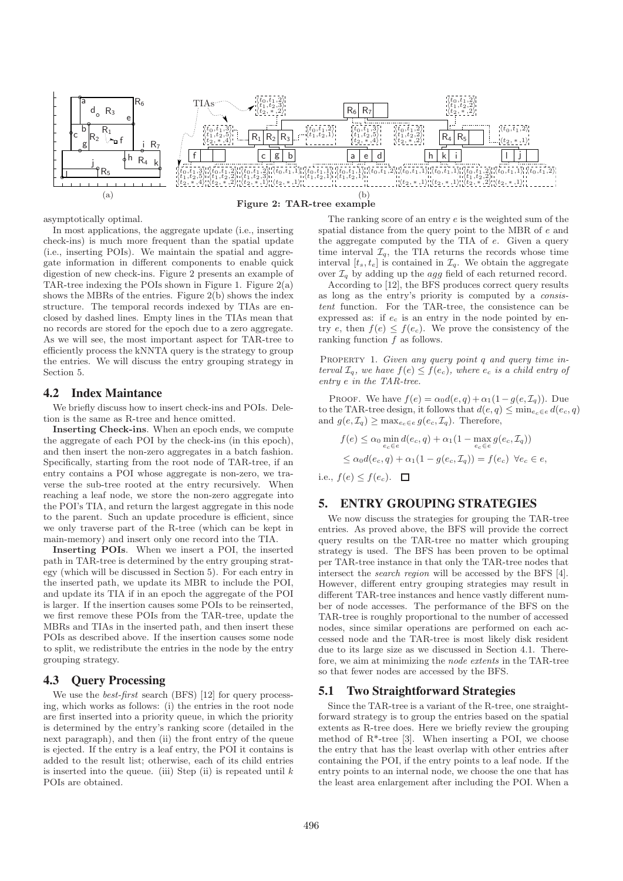

asymptotically optimal.

In most applications, the aggregate update (i.e., inserting check-ins) is much more frequent than the spatial update (i.e., inserting POIs). We maintain the spatial and aggregate information in different components to enable quick digestion of new check-ins. Figure 2 presents an example of TAR-tree indexing the POIs shown in Figure 1. Figure  $2(a)$ shows the MBRs of the entries. Figure 2(b) shows the index structure. The temporal records indexed by TIAs are enclosed by dashed lines. Empty lines in the TIAs mean that no records are stored for the epoch due to a zero aggregate. As we will see, the most important aspect for TAR-tree to efficiently process the kNNTA query is the strategy to group the entries. We will discuss the entry grouping strategy in Section 5.

# 4.2 Index Maintance

We briefly discuss how to insert check-ins and POIs. Deletion is the same as R-tree and hence omitted.

Inserting Check-ins. When an epoch ends, we compute the aggregate of each POI by the check-ins (in this epoch), and then insert the non-zero aggregates in a batch fashion. Specifically, starting from the root node of TAR-tree, if an entry contains a POI whose aggregate is non-zero, we traverse the sub-tree rooted at the entry recursively. When reaching a leaf node, we store the non-zero aggregate into the POI's TIA, and return the largest aggregate in this node to the parent. Such an update procedure is efficient, since we only traverse part of the R-tree (which can be kept in main-memory) and insert only one record into the TIA.

Inserting POIs. When we insert a POI, the inserted path in TAR-tree is determined by the entry grouping strategy (which will be discussed in Section 5). For each entry in the inserted path, we update its MBR to include the POI, and update its TIA if in an epoch the aggregate of the POI is larger. If the insertion causes some POIs to be reinserted, we first remove these POIs from the TAR-tree, update the MBRs and TIAs in the inserted path, and then insert these POIs as described above. If the insertion causes some node to split, we redistribute the entries in the node by the entry grouping strategy.

# 4.3 Query Processing

We use the *best-first* search (BFS) [12] for query processing, which works as follows: (i) the entries in the root node are first inserted into a priority queue, in which the priority is determined by the entry's ranking score (detailed in the next paragraph), and then (ii) the front entry of the queue is ejected. If the entry is a leaf entry, the POI it contains is added to the result list; otherwise, each of its child entries is inserted into the queue. (iii) Step (ii) is repeated until  $k$ POIs are obtained.

The ranking score of an entry  $e$  is the weighted sum of the spatial distance from the query point to the MBR of e and the aggregate computed by the TIA of e. Given a query time interval  $\mathcal{I}_q$ , the TIA returns the records whose time interval  $[t_s, t_e]$  is contained in  $\mathcal{I}_q$ . We obtain the aggregate over  $\mathcal{I}_q$  by adding up the *agg* field of each returned record.

According to [12], the BFS produces correct query results as long as the entry's priority is computed by a consistent function. For the TAR-tree, the consistence can be expressed as: if  $e_c$  is an entry in the node pointed by entry e, then  $f(e) \leq f(e_c)$ . We prove the consistency of the ranking function f as follows.

PROPERTY 1. Given any query point q and query time interval  $\mathcal{I}_q$ , we have  $f(e) \leq f(e_c)$ , where  $e_c$  is a child entry of entry e in the TAR-tree.

PROOF. We have  $f(e) = \alpha_0 d(e, q) + \alpha_1 (1 - g(e, \mathcal{I}_q))$ . Due to the TAR-tree design, it follows that  $d(e, q) \leq \min_{e_c \in e} d(e_c, q)$ and  $g(e, \mathcal{I}_q) \geq \max_{e \in \mathcal{E}_q} g(e_c, \mathcal{I}_q)$ . Therefore,

$$
f(e) \leq \alpha_0 \min_{e_c \in e} d(e_c, q) + \alpha_1 (1 - \max_{e_c \in e} g(e_c, \mathcal{I}_q))
$$
  
 
$$
\leq \alpha_0 d(e_c, q) + \alpha_1 (1 - g(e_c, \mathcal{I}_q)) = f(e_c) \ \forall e_c \in e,
$$

i.e.,  $f(e) \leq f(e_c)$ .  $\Box$ 

### 5. ENTRY GROUPING STRATEGIES

We now discuss the strategies for grouping the TAR-tree entries. As proved above, the BFS will provide the correct query results on the TAR-tree no matter which grouping strategy is used. The BFS has been proven to be optimal per TAR-tree instance in that only the TAR-tree nodes that intersect the search region will be accessed by the BFS [4]. However, different entry grouping strategies may result in different TAR-tree instances and hence vastly different number of node accesses. The performance of the BFS on the TAR-tree is roughly proportional to the number of accessed nodes, since similar operations are performed on each accessed node and the TAR-tree is most likely disk resident due to its large size as we discussed in Section 4.1. Therefore, we aim at minimizing the node extents in the TAR-tree so that fewer nodes are accessed by the BFS.

# 5.1 Two Straightforward Strategies

Since the TAR-tree is a variant of the R-tree, one straightforward strategy is to group the entries based on the spatial extents as R-tree does. Here we briefly review the grouping method of  $R^*$ -tree [3]. When inserting a POI, we choose the entry that has the least overlap with other entries after containing the POI, if the entry points to a leaf node. If the entry points to an internal node, we choose the one that has the least area enlargement after including the POI. When a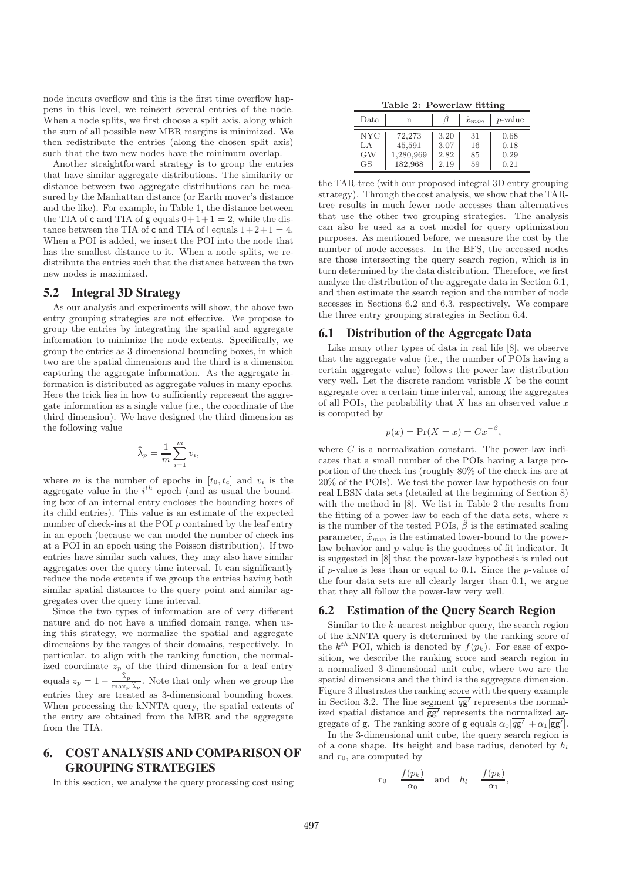node incurs overflow and this is the first time overflow happens in this level, we reinsert several entries of the node. When a node splits, we first choose a split axis, along which the sum of all possible new MBR margins is minimized. We then redistribute the entries (along the chosen split axis) such that the two new nodes have the minimum overlap.

Another straightforward strategy is to group the entries that have similar aggregate distributions. The similarity or distance between two aggregate distributions can be measured by the Manhattan distance (or Earth mover's distance and the like). For example, in Table 1, the distance between the TIA of c and TIA of g equals  $0+1+1=2$ , while the distance between the TIA of c and TIA of l equals  $1+2+1=4$ . When a POI is added, we insert the POI into the node that has the smallest distance to it. When a node splits, we redistribute the entries such that the distance between the two new nodes is maximized.

## 5.2 Integral 3D Strategy

As our analysis and experiments will show, the above two entry grouping strategies are not effective. We propose to group the entries by integrating the spatial and aggregate information to minimize the node extents. Specifically, we group the entries as 3-dimensional bounding boxes, in which two are the spatial dimensions and the third is a dimension capturing the aggregate information. As the aggregate information is distributed as aggregate values in many epochs. Here the trick lies in how to sufficiently represent the aggregate information as a single value (i.e., the coordinate of the third dimension). We have designed the third dimension as the following value

$$
\widehat{\lambda}_p = \frac{1}{m} \sum_{i=1}^m v_i,
$$

where m is the number of epochs in  $[t_0, t_c]$  and  $v_i$  is the aggregate value in the  $i^{th}$  epoch (and as usual the bounding box of an internal entry encloses the bounding boxes of its child entries). This value is an estimate of the expected number of check-ins at the POI  $p$  contained by the leaf entry in an epoch (because we can model the number of check-ins at a POI in an epoch using the Poisson distribution). If two entries have similar such values, they may also have similar aggregates over the query time interval. It can significantly reduce the node extents if we group the entries having both similar spatial distances to the query point and similar aggregates over the query time interval.

Since the two types of information are of very different nature and do not have a unified domain range, when using this strategy, we normalize the spatial and aggregate dimensions by the ranges of their domains, respectively. In particular, to align with the ranking function, the normalized coordinate  $z_p$  of the third dimension for a leaf entry equals  $z_p = 1 - \frac{\lambda_p}{\max_p}$  $\frac{\lambda_p}{\max_p \widehat{\lambda}_p}$ . Note that only when we group the entries they are treated as 3-dimensional bounding boxes. When processing the kNNTA query, the spatial extents of the entry are obtained from the MBR and the aggregate from the TIA.

# 6. COST ANALYSIS AND COMPARISON OF GROUPING STRATEGIES

In this section, we analyze the query processing cost using

Table 2: Powerlaw fitting

| Data       | n         |      | $\hat{x}_{min}$ | <i>p</i> -value |
|------------|-----------|------|-----------------|-----------------|
| <b>NYC</b> | 72,273    | 3.20 | 31              | 0.68            |
| LA         | 45,591    | 3.07 | 16              | 0.18            |
| GW         | 1,280,969 | 2.82 | 85              | 0.29            |
| <b>GS</b>  | 182,968   | 2.19 | 59              | 0.21            |

the TAR-tree (with our proposed integral 3D entry grouping strategy). Through the cost analysis, we show that the TARtree results in much fewer node accesses than alternatives that use the other two grouping strategies. The analysis can also be used as a cost model for query optimization purposes. As mentioned before, we measure the cost by the number of node accesses. In the BFS, the accessed nodes are those intersecting the query search region, which is in turn determined by the data distribution. Therefore, we first analyze the distribution of the aggregate data in Section 6.1, and then estimate the search region and the number of node accesses in Sections 6.2 and 6.3, respectively. We compare the three entry grouping strategies in Section 6.4.

#### 6.1 Distribution of the Aggregate Data

Like many other types of data in real life [8], we observe that the aggregate value (i.e., the number of POIs having a certain aggregate value) follows the power-law distribution very well. Let the discrete random variable  $X$  be the count aggregate over a certain time interval, among the aggregates of all POIs, the probability that  $X$  has an observed value  $x$ is computed by

$$
p(x) = \Pr(X = x) = Cx^{-\beta},
$$

where  $C$  is a normalization constant. The power-law indicates that a small number of the POIs having a large proportion of the check-ins (roughly 80% of the check-ins are at 20% of the POIs). We test the power-law hypothesis on four real LBSN data sets (detailed at the beginning of Section 8) with the method in [8]. We list in Table 2 the results from the fitting of a power-law to each of the data sets, where  $n$ is the number of the tested POIs,  $\hat{\beta}$  is the estimated scaling parameter,  $\hat{x}_{min}$  is the estimated lower-bound to the powerlaw behavior and p-value is the goodness-of-fit indicator. It is suggested in [8] that the power-law hypothesis is ruled out if p-value is less than or equal to 0.1. Since the p-values of the four data sets are all clearly larger than 0.1, we argue that they all follow the power-law very well.

# 6.2 Estimation of the Query Search Region

Similar to the k-nearest neighbor query, the search region of the kNNTA query is determined by the ranking score of the  $k^{th}$  POI, which is denoted by  $f(p_k)$ . For ease of exposition, we describe the ranking score and search region in a normalized 3-dimensional unit cube, where two are the spatial dimensions and the third is the aggregate dimension. Figure 3 illustrates the ranking score with the query example in Section 3.2. The line segment  $\overline{q\mathbf{g}'}$  represents the normalized spatial distance and  $\overline{gg'}$  represents the normalized aggregate of g. The ranking score of g equals  $\alpha_0 |\overline{qg'}| + \alpha_1 |\overline{gg'}|$ .

In the 3-dimensional unit cube, the query search region is of a cone shape. Its height and base radius, denoted by  $h_l$ and  $r_0$ , are computed by

$$
r_0 = \frac{f(p_k)}{\alpha_0} \quad \text{and} \quad h_l = \frac{f(p_k)}{\alpha_1},
$$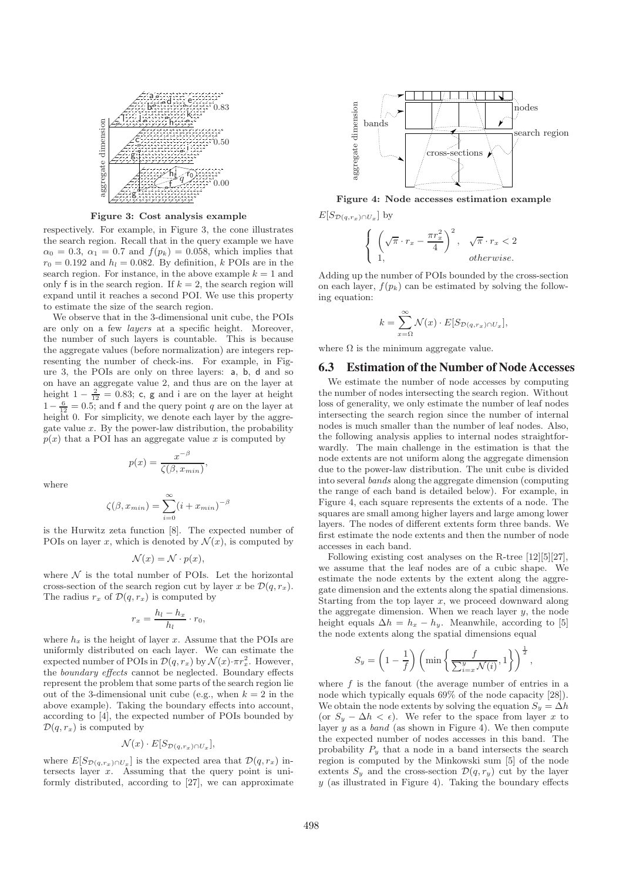

Figure 3: Cost analysis example

respectively. For example, in Figure 3, the cone illustrates the search region. Recall that in the query example we have  $\alpha_0 = 0.3$ ,  $\alpha_1 = 0.7$  and  $f(p_k) = 0.058$ , which implies that  $r_0 = 0.192$  and  $h_l = 0.082$ . By definition, k POIs are in the search region. For instance, in the above example  $k = 1$  and only f is in the search region. If  $k = 2$ , the search region will expand until it reaches a second POI. We use this property to estimate the size of the search region.

We observe that in the 3-dimensional unit cube, the POIs are only on a few layers at a specific height. Moreover, the number of such layers is countable. This is because the aggregate values (before normalization) are integers representing the number of check-ins. For example, in Figure 3, the POIs are only on three layers: a, b, d and so on have an aggregate value 2, and thus are on the layer at height  $1 - \frac{2}{12} = 0.83$ ; c, g and i are on the layer at height  $1-\frac{6}{12}=0.5$ ; and f and the query point q are on the layer at height 0. For simplicity, we denote each layer by the aggregate value  $x$ . By the power-law distribution, the probability  $p(x)$  that a POI has an aggregate value x is computed by

$$
p(x) = \frac{x^{-\beta}}{\zeta(\beta, x_{min})}
$$

,

where

$$
\zeta(\beta, x_{min}) = \sum_{i=0}^{\infty} (i + x_{min})^{-\beta}
$$

is the Hurwitz zeta function [8]. The expected number of POIs on layer x, which is denoted by  $\mathcal{N}(x)$ , is computed by

$$
\mathcal{N}(x) = \mathcal{N} \cdot p(x),
$$

where  $N$  is the total number of POIs. Let the horizontal cross-section of the search region cut by layer x be  $\mathcal{D}(q, r_x)$ . The radius  $r_x$  of  $\mathcal{D}(q, r_x)$  is computed by

$$
r_x = \frac{h_l - h_x}{h_l} \cdot r_0,
$$

where  $h_x$  is the height of layer x. Assume that the POIs are uniformly distributed on each layer. We can estimate the expected number of POIs in  $\mathcal{D}(q, r_x)$  by  $\mathcal{N}(x) \cdot \pi r_x^2$ . However, the boundary effects cannot be neglected. Boundary effects represent the problem that some parts of the search region lie out of the 3-dimensional unit cube (e.g., when  $k = 2$  in the above example). Taking the boundary effects into account, according to [4], the expected number of POIs bounded by  $\mathcal{D}(q, r_x)$  is computed by

$$
\mathcal{N}(x) \cdot E[S_{\mathcal{D}(q,r_x)\cap U_x}],
$$

where  $E[S_{\mathcal{D}(q,r_x)\cap U_x}]$  is the expected area that  $\mathcal{D}(q,r_x)$  intersects layer  $x$ . Assuming that the query point is uniformly distributed, according to [27], we can approximate



Figure 4: Node accesses estimation example

 $E[S_{\mathcal{D}(q,r_x)\cap U_x}]$  by

$$
\begin{cases} \left(\sqrt{\pi} \cdot r_x - \frac{\pi r_x^2}{4}\right)^2, & \sqrt{\pi} \cdot r_x < 2\\ 1, & otherwise. \end{cases}
$$

Adding up the number of POIs bounded by the cross-section on each layer,  $f(p_k)$  can be estimated by solving the following equation:

$$
k = \sum_{x=\Omega}^{\infty} \mathcal{N}(x) \cdot E[S_{\mathcal{D}(q,r_x)\cap U_x}],
$$

where  $\Omega$  is the minimum aggregate value.

# 6.3 Estimation of the Number of Node Accesses

We estimate the number of node accesses by computing the number of nodes intersecting the search region. Without loss of generality, we only estimate the number of leaf nodes intersecting the search region since the number of internal nodes is much smaller than the number of leaf nodes. Also, the following analysis applies to internal nodes straightforwardly. The main challenge in the estimation is that the node extents are not uniform along the aggregate dimension due to the power-law distribution. The unit cube is divided into several bands along the aggregate dimension (computing the range of each band is detailed below). For example, in Figure 4, each square represents the extents of a node. The squares are small among higher layers and large among lower layers. The nodes of different extents form three bands. We first estimate the node extents and then the number of node accesses in each band.

Following existing cost analyses on the R-tree [12][5][27], we assume that the leaf nodes are of a cubic shape. We estimate the node extents by the extent along the aggregate dimension and the extents along the spatial dimensions. Starting from the top layer  $x$ , we proceed downward along the aggregate dimension. When we reach layer  $y$ , the node height equals  $\Delta h = h_x - h_y$ . Meanwhile, according to [5] the node extents along the spatial dimensions equal

$$
S_y = \left(1 - \frac{1}{f}\right) \left(\min\left\{\frac{f}{\sum_{i=x}^y \mathcal{N}(i)}, 1\right\}\right)^{\frac{1}{2}},
$$

where  $f$  is the fanout (the average number of entries in a node which typically equals 69% of the node capacity [28]). We obtain the node extents by solving the equation  $S_y = \Delta h$ (or  $S_y - \Delta h < \epsilon$ ). We refer to the space from layer x to layer  $y$  as a *band* (as shown in Figure 4). We then compute the expected number of nodes accesses in this band. The probability  $P_y$  that a node in a band intersects the search region is computed by the Minkowski sum [5] of the node extents  $S_y$  and the cross-section  $\mathcal{D}(q, r_y)$  cut by the layer  $y$  (as illustrated in Figure 4). Taking the boundary effects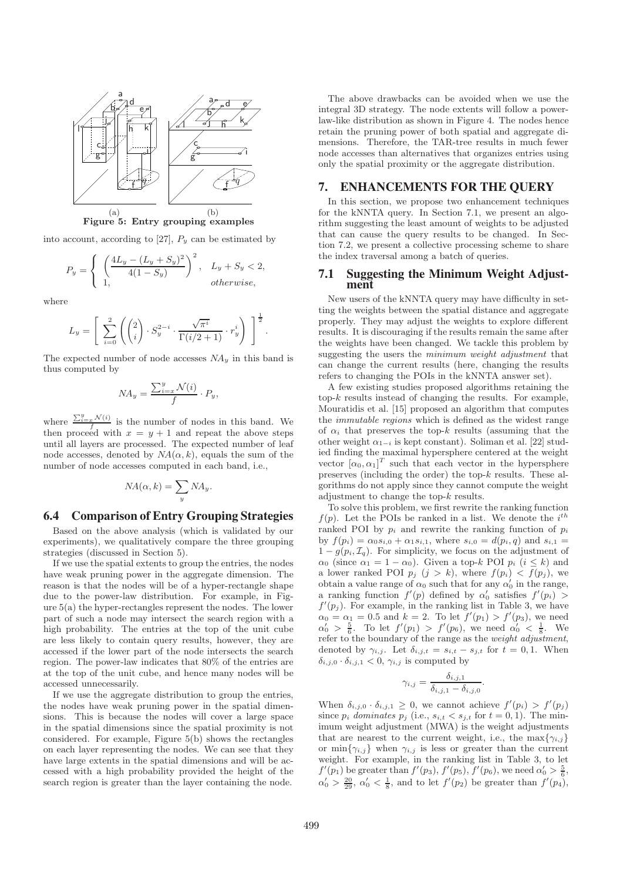

Figure 5: Entry grouping examples

into account, according to [27],  $P_y$  can be estimated by

$$
P_y = \begin{cases} \left(\frac{4L_y - (L_y + S_y)^2}{4(1 - S_y)}\right)^2, & L_y + S_y < 2, \\ 1, & otherwise, \end{cases}
$$

where

$$
L_y = \left[ \sum_{i=0}^{2} \left( \binom{2}{i} \cdot S_y^{2-i} \cdot \frac{\sqrt{\pi^i}}{\Gamma(i/2+1)} \cdot r_y^i \right) \right]^{\frac{1}{2}}.
$$

The expected number of node accesses  $NA<sub>y</sub>$  in this band is thus computed by

$$
NA_y = \frac{\sum_{i=x}^{y} \mathcal{N}(i)}{f} \cdot P_y,
$$

where  $\frac{\sum_{i=x}^{y} \mathcal{N}(i)}{f}$  is the number of nodes in this band. We then proceed with  $x = y + 1$  and repeat the above steps until all layers are processed. The expected number of leaf node accesses, denoted by  $NA(\alpha, k)$ , equals the sum of the number of node accesses computed in each band, i.e.,

$$
NA(\alpha, k) = \sum_{y} NA_y.
$$

#### 6.4 Comparison of Entry Grouping Strategies

Based on the above analysis (which is validated by our experiments), we qualitatively compare the three grouping strategies (discussed in Section 5).

If we use the spatial extents to group the entries, the nodes have weak pruning power in the aggregate dimension. The reason is that the nodes will be of a hyper-rectangle shape due to the power-law distribution. For example, in Figure 5(a) the hyper-rectangles represent the nodes. The lower part of such a node may intersect the search region with a high probability. The entries at the top of the unit cube are less likely to contain query results, however, they are accessed if the lower part of the node intersects the search region. The power-law indicates that 80% of the entries are at the top of the unit cube, and hence many nodes will be accessed unnecessarily.

If we use the aggregate distribution to group the entries, the nodes have weak pruning power in the spatial dimensions. This is because the nodes will cover a large space in the spatial dimensions since the spatial proximity is not considered. For example, Figure 5(b) shows the rectangles on each layer representing the nodes. We can see that they have large extents in the spatial dimensions and will be accessed with a high probability provided the height of the search region is greater than the layer containing the node.

The above drawbacks can be avoided when we use the integral 3D strategy. The node extents will follow a powerlaw-like distribution as shown in Figure 4. The nodes hence retain the pruning power of both spatial and aggregate dimensions. Therefore, the TAR-tree results in much fewer node accesses than alternatives that organizes entries using only the spatial proximity or the aggregate distribution.

### 7. ENHANCEMENTS FOR THE QUERY

In this section, we propose two enhancement techniques for the kNNTA query. In Section 7.1, we present an algorithm suggesting the least amount of weights to be adjusted that can cause the query results to be changed. In Section 7.2, we present a collective processing scheme to share the index traversal among a batch of queries.

# 7.1 Suggesting the Minimum Weight Adjustment

New users of the kNNTA query may have difficulty in setting the weights between the spatial distance and aggregate properly. They may adjust the weights to explore different results. It is discouraging if the results remain the same after the weights have been changed. We tackle this problem by suggesting the users the minimum weight adjustment that can change the current results (here, changing the results refers to changing the POIs in the kNNTA answer set).

A few existing studies proposed algorithms retaining the  $top-k$  results instead of changing the results. For example, Mouratidis et al. [15] proposed an algorithm that computes the immutable regions which is defined as the widest range of  $\alpha_i$  that preserves the top-k results (assuming that the other weight  $\alpha_{1-i}$  is kept constant). Soliman et al. [22] studied finding the maximal hypersphere centered at the weight vector  $[\alpha_0, \alpha_1]^T$  such that each vector in the hypersphere preserves (including the order) the top- $k$  results. These algorithms do not apply since they cannot compute the weight adjustment to change the top-k results.

To solve this problem, we first rewrite the ranking function  $f(p)$ . Let the POIs be ranked in a list. We denote the  $i^{th}$ ranked POI by  $p_i$  and rewrite the ranking function of  $p_i$ by  $f(p_i) = \alpha_0 s_{i,0} + \alpha_1 s_{i,1}$ , where  $s_{i,0} = d(p_i, q)$  and  $s_{i,1} =$  $1 - g(p_i, \mathcal{I}_q)$ . For simplicity, we focus on the adjustment of  $\alpha_0$  (since  $\alpha_1 = 1 - \alpha_0$ ). Given a top-k POI  $p_i$  ( $i \leq k$ ) and a lower ranked POI  $p_j$   $(j > k)$ , where  $f(p_i) < f(p_j)$ , we obtain a value range of  $\alpha_0$  such that for any  $\alpha'_0$  in the range, a ranking function  $f'(p)$  defined by  $\alpha'_0$  satisfies  $f'(p_i)$  $f'(p<sub>j</sub>)$ . For example, in the ranking list in Table 3, we have  $\alpha_0 = \alpha_1 = 0.5$  and  $k = 2$ . To let  $f'(p_1) > f'(p_3)$ , we need  $\alpha'_0 > \frac{5}{6}$ . To let  $f'(p_1) > f'(p_6)$ , we need  $\alpha'_0 < \frac{1}{8}$ . We refer to the boundary of the range as the weight adjustment, denoted by  $\gamma_{i,j}$ . Let  $\delta_{i,j,t} = s_{i,t} - s_{j,t}$  for  $t = 0,1$ . When  $\delta_{i,j,0} \cdot \delta_{i,j,1} < 0$ ,  $\gamma_{i,j}$  is computed by

$$
\gamma_{i,j} = \frac{\delta_{i,j,1}}{\delta_{i,j,1} - \delta_{i,j,0}}.
$$

When  $\delta_{i,j,0} \cdot \delta_{i,j,1} \geq 0$ , we cannot achieve  $f'(p_i) > f'(p_j)$ since  $p_i$  dominates  $p_j$  (i.e.,  $s_{i,t} < s_{j,t}$  for  $t = 0, 1$ ). The minimum weight adjustment (MWA) is the weight adjustments that are nearest to the current weight, i.e., the  $\max\{\gamma_{i,j}\}$ or min $\{\gamma_{i,j}\}$  when  $\gamma_{i,j}$  is less or greater than the current weight. For example, in the ranking list in Table 3, to let  $f'(p_1)$  be greater than  $f'(p_3)$ ,  $f'(p_5)$ ,  $f'(p_6)$ , we need  $\alpha'_0 > \frac{5}{6}$ ,  $\alpha'_0 > \frac{20}{29}$ ,  $\alpha'_0 < \frac{1}{8}$ , and to let  $f'(p_2)$  be greater than  $f'(p_4)$ ,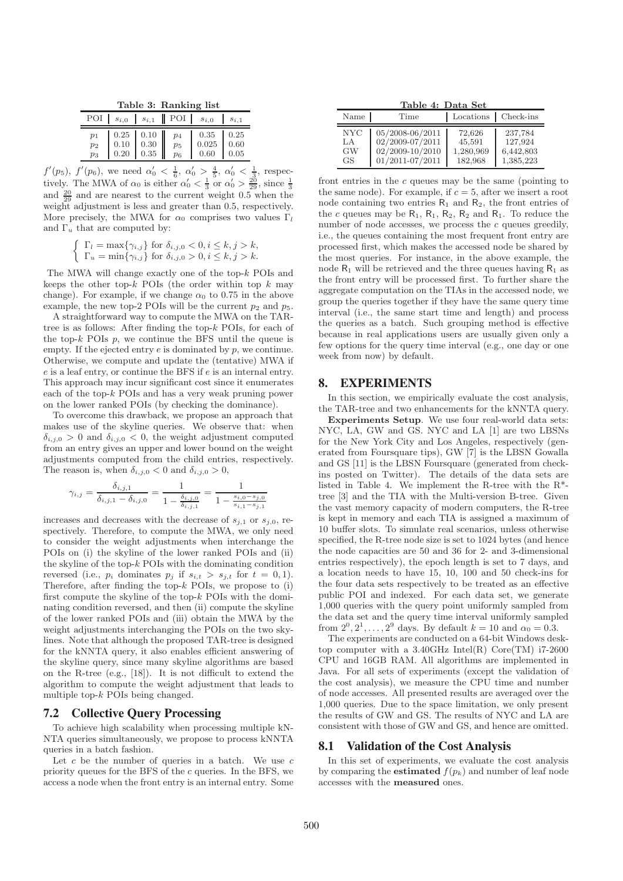Table 3: Ranking list

|  |  | POI $s_{i,0}$ $s_{i,1}$ POI $s_{i,0}$ $s_{i,1}$                                                                                                                                                                                  |  |
|--|--|----------------------------------------------------------------------------------------------------------------------------------------------------------------------------------------------------------------------------------|--|
|  |  | $\begin{tabular}{ c c c c c c c c } \hline $p_1$ & $0.25$ & $0.10$ & $p_4$ & $0.35$ & $0.25$ \\ $p_2$ & $0.10$ & $0.30$ & $p_5$ & $0.025$ & $0.60$ \\ $p_3$ & $0.20$ & $0.35$ & $p_6$ & $0.60$ & $0.05$ \\ \hline \end{tabular}$ |  |

 $f'(p_5)$ ,  $f'(p_6)$ , we need  $\alpha'_0 < \frac{1}{6}$ ,  $\alpha'_0 > \frac{4}{5}$ ,  $\alpha'_0 < \frac{1}{3}$ , respectively. The MWA of  $\alpha_0$  is either  $\alpha'_0 < \frac{1}{3}$  or  $\alpha'_0 > \frac{20}{29}$ , since  $\frac{1}{3}$ and  $\frac{20}{29}$  and are nearest to the current weight 0.5 when the weight adjustment is less and greater than 0.5, respectively. More precisely, the MWA for  $\alpha_0$  comprises two values  $\Gamma_l$ and  $\Gamma_u$  that are computed by:

$$
\begin{cases} \Gamma_l = \max\{\gamma_{i,j}\} \text{ for } \delta_{i,j,0} < 0, i \leq k, j > k, \\ \Gamma_u = \min\{\gamma_{i,j}\} \text{ for } \delta_{i,j,0} > 0, i \leq k, j > k. \end{cases}
$$

The MWA will change exactly one of the top-k POIs and keeps the other top- $k$  POIs (the order within top  $k$  may change). For example, if we change  $\alpha_0$  to 0.75 in the above example, the new top-2 POIs will be the current  $p_2$  and  $p_5$ .

A straightforward way to compute the MWA on the TARtree is as follows: After finding the top-k POIs, for each of the top- $k$  POIs  $p$ , we continue the BFS until the queue is empty. If the ejected entry  $e$  is dominated by  $p$ , we continue. Otherwise, we compute and update the (tentative) MWA if e is a leaf entry, or continue the BFS if e is an internal entry. This approach may incur significant cost since it enumerates each of the top-k POIs and has a very weak pruning power on the lower ranked POIs (by checking the dominance).

To overcome this drawback, we propose an approach that makes use of the skyline queries. We observe that: when  $\delta_{i,j,0} > 0$  and  $\delta_{i,j,0} < 0$ , the weight adjustment computed from an entry gives an upper and lower bound on the weight adjustments computed from the child entries, respectively. The reason is, when  $\delta_{i,j,0} < 0$  and  $\delta_{i,j,0} > 0$ ,

$$
\gamma_{i,j} = \frac{\delta_{i,j,1}}{\delta_{i,j,1} - \delta_{i,j,0}} = \frac{1}{1 - \frac{\delta_{i,j,0}}{\delta_{i,j,1}}} = \frac{1}{1 - \frac{s_{i,0} - s_{j,0}}{s_{i,1} - s_{j,1}}}
$$

increases and decreases with the decrease of  $s_{j,1}$  or  $s_{j,0}$ , respectively. Therefore, to compute the MWA, we only need to consider the weight adjustments when interchange the POIs on (i) the skyline of the lower ranked POIs and (ii) the skyline of the top-k POIs with the dominating condition reversed (i.e.,  $p_i$  dominates  $p_j$  if  $s_{i,t} > s_{j,t}$  for  $t = 0, 1$ ). Therefore, after finding the top- $k$  POIs, we propose to  $(i)$ first compute the skyline of the top- $k$  POIs with the dominating condition reversed, and then (ii) compute the skyline of the lower ranked POIs and (iii) obtain the MWA by the weight adjustments interchanging the POIs on the two skylines. Note that although the proposed TAR-tree is designed for the kNNTA query, it also enables efficient answering of the skyline query, since many skyline algorithms are based on the R-tree (e.g., [18]). It is not difficult to extend the algorithm to compute the weight adjustment that leads to multiple top- $k$  POIs being changed.

#### 7.2 Collective Query Processing

To achieve high scalability when processing multiple kN-NTA queries simultaneously, we propose to process kNNTA queries in a batch fashion.

Let  $c$  be the number of queries in a batch. We use  $c$ priority queues for the BFS of the c queries. In the BFS, we access a node when the front entry is an internal entry. Some

Table 4: Data Set

| Taple 4. Data bet      |                                                                          |                                          |                                              |
|------------------------|--------------------------------------------------------------------------|------------------------------------------|----------------------------------------------|
| Name                   | Time                                                                     | Locations Check-ins                      |                                              |
| NYC<br>LA<br>GW<br>GS. | 05/2008-06/2011<br>02/2009-07/2011<br>02/2009-10/2010<br>01/2011-07/2011 | 72,626<br>45,591<br>1,280,969<br>182,968 | 237,784<br>127.924<br>6,442,803<br>1,385,223 |

front entries in the  $c$  queues may be the same (pointing to the same node). For example, if  $c = 5$ , after we insert a root node containing two entries  $R_1$  and  $R_2$ , the front entries of the c queues may be  $R_1$ ,  $R_1$ ,  $R_2$ ,  $R_2$  and  $R_1$ . To reduce the number of node accesses, we process the  $c$  queues greedily, i.e., the queues containing the most frequent front entry are processed first, which makes the accessed node be shared by the most queries. For instance, in the above example, the node  $R_1$  will be retrieved and the three queues having  $R_1$  as the front entry will be processed first. To further share the aggregate computation on the TIAs in the accessed node, we group the queries together if they have the same query time interval (i.e., the same start time and length) and process the queries as a batch. Such grouping method is effective because in real applications users are usually given only a few options for the query time interval (e.g., one day or one week from now) by default.

# 8. EXPERIMENTS

In this section, we empirically evaluate the cost analysis, the TAR-tree and two enhancements for the kNNTA query.

Experiments Setup. We use four real-world data sets: NYC, LA, GW and GS. NYC and LA [1] are two LBSNs for the New York City and Los Angeles, respectively (generated from Foursquare tips), GW [7] is the LBSN Gowalla and GS [11] is the LBSN Foursquare (generated from checkins posted on Twitter). The details of the data sets are listed in Table 4. We implement the R-tree with the R\* tree [3] and the TIA with the Multi-version B-tree. Given the vast memory capacity of modern computers, the R-tree is kept in memory and each TIA is assigned a maximum of 10 buffer slots. To simulate real scenarios, unless otherwise specified, the R-tree node size is set to 1024 bytes (and hence the node capacities are 50 and 36 for 2- and 3-dimensional entries respectively), the epoch length is set to 7 days, and a location needs to have 15, 10, 100 and 50 check-ins for the four data sets respectively to be treated as an effective public POI and indexed. For each data set, we generate 1,000 queries with the query point uniformly sampled from the data set and the query time interval uniformly sampled from  $2^0, 2^1, \ldots, 2^9$  days. By default  $k = 10$  and  $\alpha_0 = 0.3$ .

The experiments are conducted on a 64-bit Windows desktop computer with a 3.40GHz Intel(R) Core(TM) i7-2600 CPU and 16GB RAM. All algorithms are implemented in Java. For all sets of experiments (except the validation of the cost analysis), we measure the CPU time and number of node accesses. All presented results are averaged over the 1,000 queries. Due to the space limitation, we only present the results of GW and GS. The results of NYC and LA are consistent with those of GW and GS, and hence are omitted.

### 8.1 Validation of the Cost Analysis

In this set of experiments, we evaluate the cost analysis by comparing the **estimated**  $f(p_k)$  and number of leaf node accesses with the measured ones.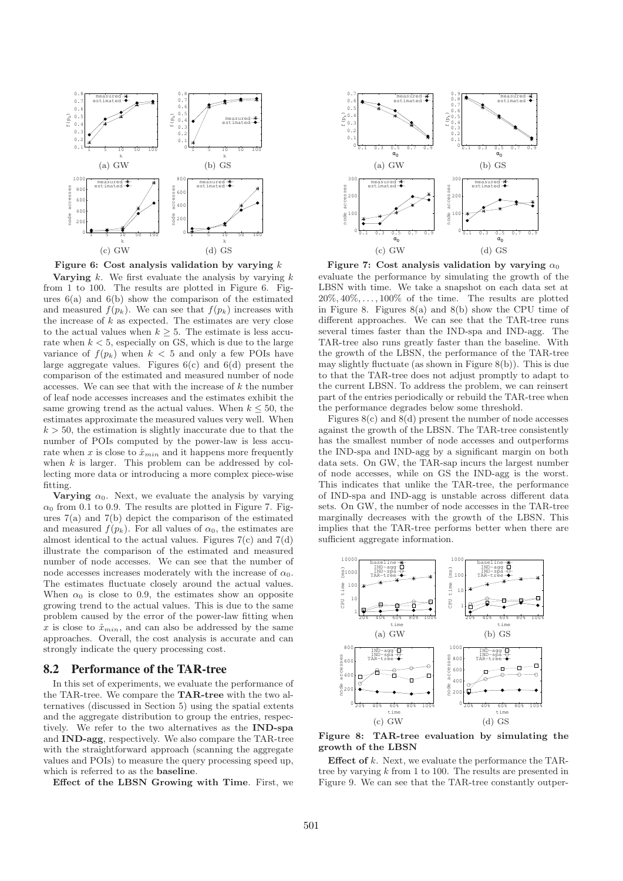

Figure 6: Cost analysis validation by varying  $k$ Varying  $k$ . We first evaluate the analysis by varying  $k$ from 1 to 100. The results are plotted in Figure 6. Figures  $6(a)$  and  $6(b)$  show the comparison of the estimated and measured  $f(p_k)$ . We can see that  $f(p_k)$  increases with the increase of  $k$  as expected. The estimates are very close to the actual values when  $k \geq 5$ . The estimate is less accurate when  $k < 5$ , especially on GS, which is due to the large variance of  $f(p_k)$  when  $k < 5$  and only a few POIs have large aggregate values. Figures  $6(c)$  and  $6(d)$  present the comparison of the estimated and measured number of node accesses. We can see that with the increase of  $k$  the number of leaf node accesses increases and the estimates exhibit the same growing trend as the actual values. When  $k \leq 50$ , the estimates approximate the measured values very well. When  $k > 50$ , the estimation is slightly inaccurate due to that the number of POIs computed by the power-law is less accurate when x is close to  $\hat{x}_{min}$  and it happens more frequently when  $k$  is larger. This problem can be addressed by collecting more data or introducing a more complex piece-wise fitting.

**Varying**  $\alpha_0$ . Next, we evaluate the analysis by varying  $\alpha_0$  from 0.1 to 0.9. The results are plotted in Figure 7. Figures 7(a) and 7(b) depict the comparison of the estimated and measured  $f(p_k)$ . For all values of  $\alpha_0$ , the estimates are almost identical to the actual values. Figures  $7(c)$  and  $7(d)$ illustrate the comparison of the estimated and measured number of node accesses. We can see that the number of node accesses increases moderately with the increase of  $\alpha_0$ . The estimates fluctuate closely around the actual values. When  $\alpha_0$  is close to 0.9, the estimates show an opposite growing trend to the actual values. This is due to the same problem caused by the error of the power-law fitting when x is close to  $\hat{x}_{min}$ , and can also be addressed by the same approaches. Overall, the cost analysis is accurate and can strongly indicate the query processing cost.

# 8.2 Performance of the TAR-tree

In this set of experiments, we evaluate the performance of the TAR-tree. We compare the TAR-tree with the two alternatives (discussed in Section 5) using the spatial extents and the aggregate distribution to group the entries, respectively. We refer to the two alternatives as the IND-spa and IND-agg, respectively. We also compare the TAR-tree with the straightforward approach (scanning the aggregate values and POIs) to measure the query processing speed up, which is referred to as the baseline.

Effect of the LBSN Growing with Time. First, we



Figure 7: Cost analysis validation by varying  $\alpha_0$ evaluate the performance by simulating the growth of the LBSN with time. We take a snapshot on each data set at  $20\%, 40\%, \ldots, 100\%$  of the time. The results are plotted in Figure 8. Figures 8(a) and 8(b) show the CPU time of different approaches. We can see that the TAR-tree runs several times faster than the IND-spa and IND-agg. The TAR-tree also runs greatly faster than the baseline. With the growth of the LBSN, the performance of the TAR-tree may slightly fluctuate (as shown in Figure 8(b)). This is due to that the TAR-tree does not adjust promptly to adapt to the current LBSN. To address the problem, we can reinsert part of the entries periodically or rebuild the TAR-tree when the performance degrades below some threshold.

Figures 8(c) and 8(d) present the number of node accesses against the growth of the LBSN. The TAR-tree consistently has the smallest number of node accesses and outperforms the IND-spa and IND-agg by a significant margin on both data sets. On GW, the TAR-sap incurs the largest number of node accesses, while on GS the IND-agg is the worst. This indicates that unlike the TAR-tree, the performance of IND-spa and IND-agg is unstable across different data sets. On GW, the number of node accesses in the TAR-tree marginally decreases with the growth of the LBSN. This implies that the TAR-tree performs better when there are sufficient aggregate information.



Figure 8: TAR-tree evaluation by simulating the growth of the LBSN

**Effect of**  $k$ . Next, we evaluate the performance the TARtree by varying  $k$  from 1 to 100. The results are presented in Figure 9. We can see that the TAR-tree constantly outper-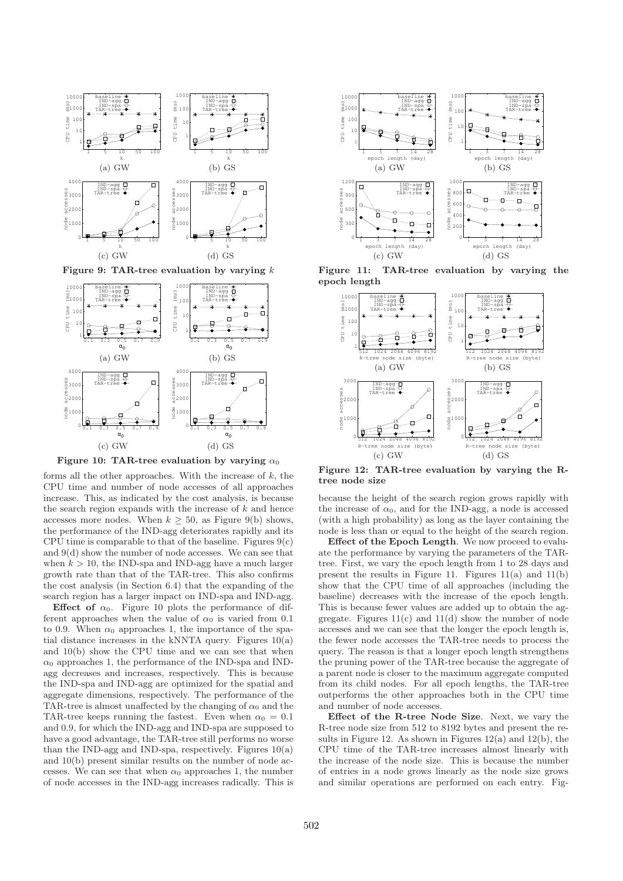

Figure 9: TAR-tree evaluation by varying  $k$ 



Figure 10: TAR-tree evaluation by varying  $\alpha_0$ 

forms all the other approaches. With the increase of  $k$ , the CPU time and number of node accesses of all approaches increase. This, as indicated by the cost analysis, is because the search region expands with the increase of  $k$  and hence accesses more nodes. When  $k \geq 50$ , as Figure 9(b) shows, the performance of the IND-agg deteriorates rapidly and its CPU time is comparable to that of the baseline. Figures  $9(c)$ and 9(d) show the number of node accesses. We can see that when  $k > 10$ , the IND-spa and IND-agg have a much larger growth rate than that of the TAR-tree. This also confirms the cost analysis (in Section 6.4) that the expanding of the search region has a larger impact on IND-spa and IND-agg.

Effect of  $\alpha_0$ . Figure 10 plots the performance of different approaches when the value of  $\alpha_0$  is varied from 0.1 to 0.9. When  $\alpha_0$  approaches 1, the importance of the spatial distance increases in the kNNTA query. Figures 10(a) and 10(b) show the CPU time and we can see that when  $\alpha_0$  approaches 1, the performance of the IND-spa and INDagg decreases and increases, respectively. This is because the IND-spa and IND-agg are optimized for the spatial and aggregate dimensions, respectively. The performance of the TAR-tree is almost unaffected by the changing of  $\alpha_0$  and the TAR-tree keeps running the fastest. Even when  $\alpha_0 = 0.1$ and 0.9, for which the IND-agg and IND-spa are supposed to have a good advantage, the TAR-tree still performs no worse than the IND-agg and IND-spa, respectively. Figures 10(a) and 10(b) present similar results on the number of node accesses. We can see that when  $\alpha_0$  approaches 1, the number of node accesses in the IND-agg increases radically. This is



Figure 11: TAR-tree evaluation by varying the epoch length



Figure 12: TAR-tree evaluation by varying the Rtree node size

because the height of the search region grows rapidly with the increase of  $\alpha_0$ , and for the IND-agg, a node is accessed (with a high probability) as long as the layer containing the node is less than or equal to the height of the search region.

Effect of the Epoch Length. We now proceed to evaluate the performance by varying the parameters of the TARtree. First, we vary the epoch length from 1 to 28 days and present the results in Figure 11. Figures 11(a) and 11(b) show that the CPU time of all approaches (including the baseline) decreases with the increase of the epoch length. This is because fewer values are added up to obtain the aggregate. Figures  $11(c)$  and  $11(d)$  show the number of node accesses and we can see that the longer the epoch length is, the fewer node accesses the TAR-tree needs to process the query. The reason is that a longer epoch length strengthens the pruning power of the TAR-tree because the aggregate of a parent node is closer to the maximum aggregate computed from its child nodes. For all epoch lengths, the TAR-tree outperforms the other approaches both in the CPU time and number of node accesses.

Effect of the R-tree Node Size. Next, we vary the R-tree node size from 512 to 8192 bytes and present the results in Figure 12. As shown in Figures  $12(a)$  and  $12(b)$ , the CPU time of the TAR-tree increases almost linearly with the increase of the node size. This is because the number of entries in a node grows linearly as the node size grows and similar operations are performed on each entry. Fig-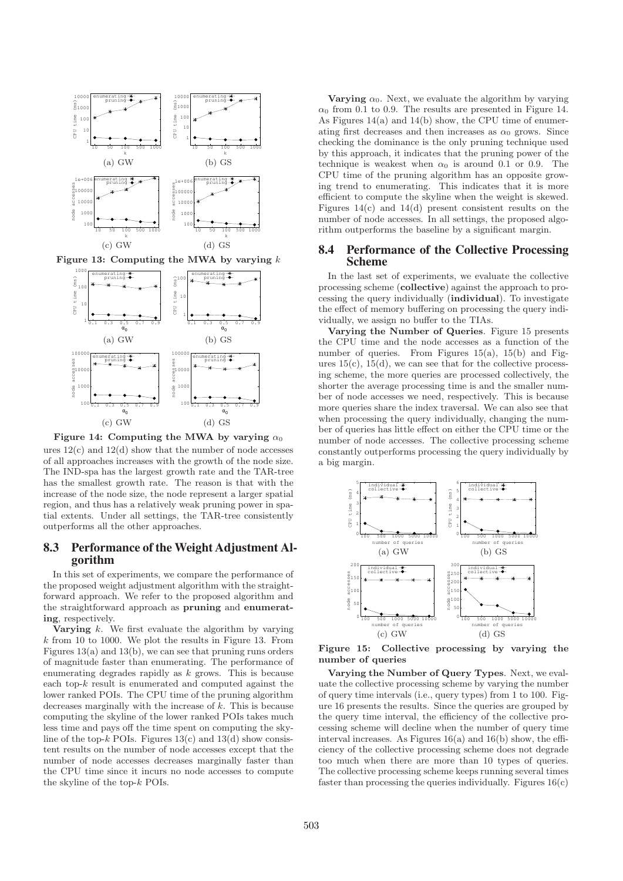

Figure 14: Computing the MWA by varying  $\alpha_0$ 

ures  $12(c)$  and  $12(d)$  show that the number of node accesses of all approaches increases with the growth of the node size. The IND-spa has the largest growth rate and the TAR-tree has the smallest growth rate. The reason is that with the increase of the node size, the node represent a larger spatial region, and thus has a relatively weak pruning power in spatial extents. Under all settings, the TAR-tree consistently outperforms all the other approaches.

# 8.3 Performance of the Weight Adjustment Algorithm

In this set of experiments, we compare the performance of the proposed weight adjustment algorithm with the straightforward approach. We refer to the proposed algorithm and the straightforward approach as pruning and enumerating, respectively.

**Varying**  $k$ . We first evaluate the algorithm by varying  $k$  from 10 to 1000. We plot the results in Figure 13. From Figures 13(a) and 13(b), we can see that pruning runs orders of magnitude faster than enumerating. The performance of enumerating degrades rapidly as  $k$  grows. This is because each top-k result is enumerated and computed against the lower ranked POIs. The CPU time of the pruning algorithm decreases marginally with the increase of  $k$ . This is because computing the skyline of the lower ranked POIs takes much less time and pays off the time spent on computing the skyline of the top-k POIs. Figures  $13(c)$  and  $13(d)$  show consistent results on the number of node accesses except that the number of node accesses decreases marginally faster than the CPU time since it incurs no node accesses to compute the skyline of the top-k POIs.

**Varying**  $\alpha_0$ . Next, we evaluate the algorithm by varying  $\alpha_0$  from 0.1 to 0.9. The results are presented in Figure 14. As Figures 14(a) and 14(b) show, the CPU time of enumerating first decreases and then increases as  $\alpha_0$  grows. Since checking the dominance is the only pruning technique used by this approach, it indicates that the pruning power of the technique is weakest when  $\alpha_0$  is around 0.1 or 0.9. The CPU time of the pruning algorithm has an opposite growing trend to enumerating. This indicates that it is more efficient to compute the skyline when the weight is skewed. Figures  $14(c)$  and  $14(d)$  present consistent results on the number of node accesses. In all settings, the proposed algorithm outperforms the baseline by a significant margin.

### 8.4 Performance of the Collective Processing Scheme

In the last set of experiments, we evaluate the collective processing scheme (collective) against the approach to processing the query individually (individual). To investigate the effect of memory buffering on processing the query individually, we assign no buffer to the TIAs.

Varying the Number of Queries. Figure 15 presents the CPU time and the node accesses as a function of the number of queries. From Figures 15(a), 15(b) and Figures  $15(c)$ ,  $15(d)$ , we can see that for the collective processing scheme, the more queries are processed collectively, the shorter the average processing time is and the smaller number of node accesses we need, respectively. This is because more queries share the index traversal. We can also see that when processing the query individually, changing the number of queries has little effect on either the CPU time or the number of node accesses. The collective processing scheme constantly outperforms processing the query individually by a big margin.



Figure 15: Collective processing by varying the number of queries

Varying the Number of Query Types. Next, we evaluate the collective processing scheme by varying the number of query time intervals (i.e., query types) from 1 to 100. Figure 16 presents the results. Since the queries are grouped by the query time interval, the efficiency of the collective processing scheme will decline when the number of query time interval increases. As Figures  $16(a)$  and  $16(b)$  show, the efficiency of the collective processing scheme does not degrade too much when there are more than 10 types of queries. The collective processing scheme keeps running several times faster than processing the queries individually. Figures  $16(c)$